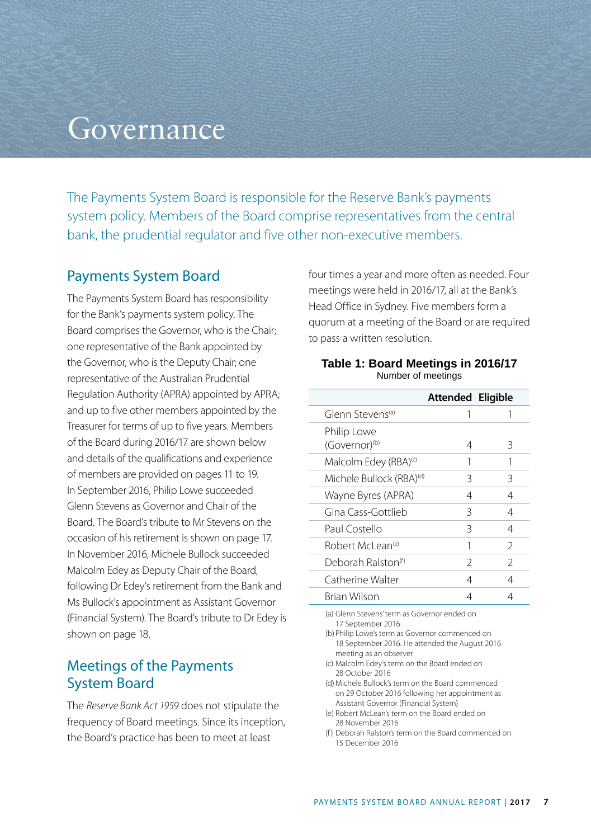# **Governance**

The Payments System Board is responsible for the Reserve Bank's payments system policy. Members of the Board comprise representatives from the central bank, the prudential regulator and five other non-executive members.

#### Payments System Board

The Payments System Board has responsibility for the Bank's payments system policy. The Board comprises the Governor, who is the Chair; one representative of the Bank appointed by the Governor, who is the Deputy Chair; one representative of the Australian Prudential Regulation Authority (APRA) appointed by APRA; and up to five other members appointed by the Treasurer for terms of up to five years. Members of the Board during 2016/17 are shown below and details of the qualifications and experience of members are provided on pages 11 to 19. In September 2016, Philip Lowe succeeded Glenn Stevens as Governor and Chair of the Board. The Board's tribute to Mr Stevens on the occasion of his retirement is shown on page 17. In November 2016, Michele Bullock succeeded Malcolm Edey as Deputy Chair of the Board, following Dr Edey's retirement from the Bank and Ms Bullock's appointment as Assistant Governor (Financial System). The Board's tribute to Dr Edey is shown on page 18.

## Meetings of the Payments System Board

The *Reserve Bank Act 1959* does not stipulate the frequency of Board meetings. Since its inception, the Board's practice has been to meet at least

four times a year and more often as needed. Four meetings were held in 2016/17, all at the Bank's Head Office in Sydney. Five members form a quorum at a meeting of the Board or are required to pass a written resolution.

#### **Table 1: Board Meetings in 2016/17** Number of meetings

|                                          | Attended Eligible |               |
|------------------------------------------|-------------------|---------------|
| Glenn Stevens <sup>(a)</sup>             | 1                 |               |
| Philip Lowe<br>(Governor) <sup>(b)</sup> | 4                 | 3             |
| Malcolm Edey (RBA) <sup>(c)</sup>        |                   |               |
| Michele Bullock (RBA) <sup>(d)</sup>     | 3                 | 3             |
| Wayne Byres (APRA)                       | 4                 | 4             |
| Gina Cass-Gottlieb                       | Β                 | 4             |
| Paul Costello                            | 3                 | 4             |
| Robert McLean <sup>(e)</sup>             | 1                 | $\mathcal{P}$ |
| Deborah Ralston <sup>(f)</sup>           | $\mathcal{P}$     | $\mathcal{P}$ |
| Catherine Walter                         | 4                 | 4             |
| Brian Wilson                             | 4                 | 4             |

(a) Glenn Stevens' term as Governor ended on 17 September 2016

- (b) Philip Lowe's term as Governor commenced on 18 September 2016. He attended the August 2016 meeting as an observer
- (c) Malcolm Edey's term on the Board ended on 28 October 2016
- (d)Michele Bullock's term on the Board commenced on 29 October 2016 following her appointment as Assistant Governor (Financial System)
- (e) Robert McLean's term on the Board ended on 28 November 2016
- (f) Deborah Ralston's term on the Board commenced on 15 December 2016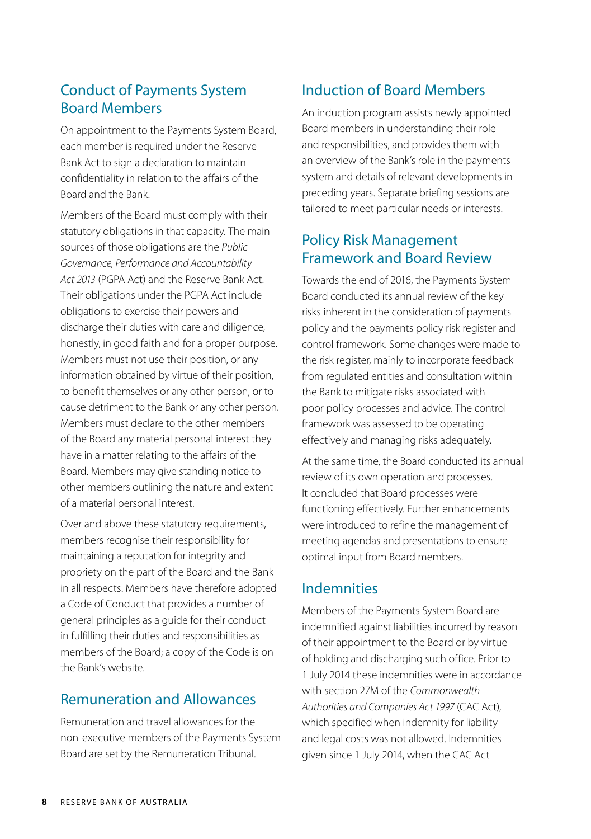# Conduct of Payments System Board Members

On appointment to the Payments System Board, each member is required under the Reserve Bank Act to sign a declaration to maintain confidentiality in relation to the affairs of the Board and the Bank.

Members of the Board must comply with their statutory obligations in that capacity. The main sources of those obligations are the *Public Governance, Performance and Accountability Act 2013* (PGPA Act) and the Reserve Bank Act. Their obligations under the PGPA Act include obligations to exercise their powers and discharge their duties with care and diligence, honestly, in good faith and for a proper purpose. Members must not use their position, or any information obtained by virtue of their position, to benefit themselves or any other person, or to cause detriment to the Bank or any other person. Members must declare to the other members of the Board any material personal interest they have in a matter relating to the affairs of the Board. Members may give standing notice to other members outlining the nature and extent of a material personal interest.

Over and above these statutory requirements, members recognise their responsibility for maintaining a reputation for integrity and propriety on the part of the Board and the Bank in all respects. Members have therefore adopted a Code of Conduct that provides a number of general principles as a guide for their conduct in fulfilling their duties and responsibilities as members of the Board; a copy of the Code is on the Bank's website.

### Remuneration and Allowances

Remuneration and travel allowances for the non-executive members of the Payments System Board are set by the Remuneration Tribunal.

# Induction of Board Members

An induction program assists newly appointed Board members in understanding their role and responsibilities, and provides them with an overview of the Bank's role in the payments system and details of relevant developments in preceding years. Separate briefing sessions are tailored to meet particular needs or interests.

# Policy Risk Management Framework and Board Review

Towards the end of 2016, the Payments System Board conducted its annual review of the key risks inherent in the consideration of payments policy and the payments policy risk register and control framework. Some changes were made to the risk register, mainly to incorporate feedback from regulated entities and consultation within the Bank to mitigate risks associated with poor policy processes and advice. The control framework was assessed to be operating effectively and managing risks adequately.

At the same time, the Board conducted its annual review of its own operation and processes. It concluded that Board processes were functioning effectively. Further enhancements were introduced to refine the management of meeting agendas and presentations to ensure optimal input from Board members.

# Indemnities

Members of the Payments System Board are indemnified against liabilities incurred by reason of their appointment to the Board or by virtue of holding and discharging such office. Prior to 1 July 2014 these indemnities were in accordance with section 27M of the *Commonwealth Authorities and Companies Act 1997* (CAC Act), which specified when indemnity for liability and legal costs was not allowed. Indemnities given since 1 July 2014, when the CAC Act